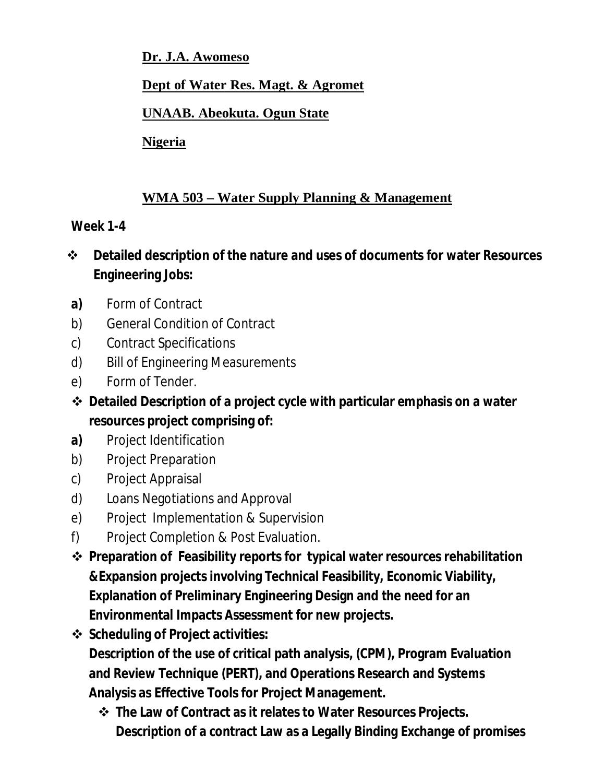**Dr. J.A. Awomeso** 

### **Dept of Water Res. Magt. & Agromet**

### **UNAAB. Abeokuta. Ogun State**

**Nigeria**

## **WMA 503 – Water Supply Planning & Management**

#### **Week 1-4**

- **Detailed description of the nature and uses of documents for water Resources Engineering Jobs:**
- **a)** Form of Contract
- b) General Condition of Contract
- c) Contract Specifications
- d) Bill of Engineering Measurements
- e) Form of Tender.
- **Detailed Description of a project cycle with particular emphasis on a water resources project comprising of:**
- **a)** Project Identification
- b) Project Preparation
- c) Project Appraisal
- d) Loans Negotiations and Approval
- e) Project Implementation & Supervision
- f) Project Completion & Post Evaluation.
- **Preparation of Feasibility reports for typical water resources rehabilitation &Expansion projects involving Technical Feasibility, Economic Viability, Explanation of Preliminary Engineering Design and the need for an Environmental Impacts Assessment for new projects.**
- **Scheduling of Project activities: Description of the use of critical path analysis, (CPM), Program Evaluation and Review Technique (PERT), and Operations Research and Systems Analysis as Effective Tools for Project Management.**
	- **The Law of Contract as it relates to Water Resources Projects. Description of a contract Law as a Legally Binding Exchange of promises**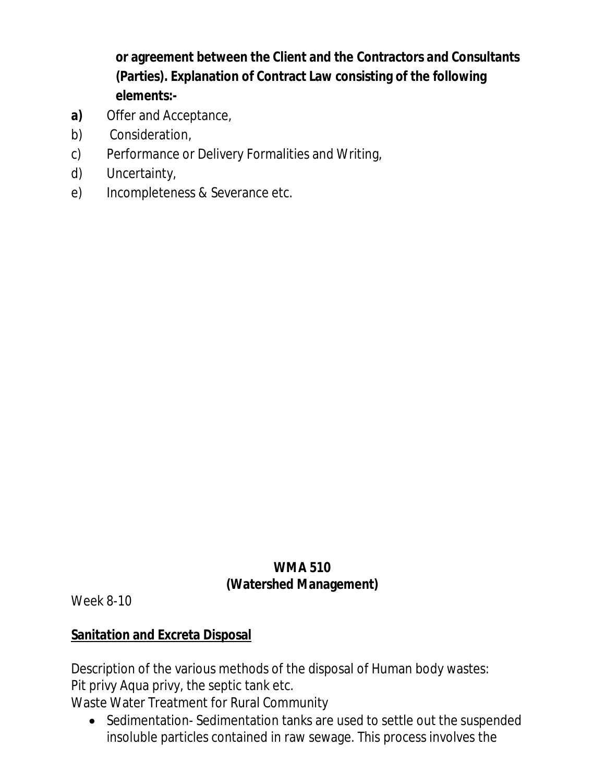**or agreement between the Client and the Contractors and Consultants (Parties). Explanation of Contract Law consisting of the following elements:-**

- **a)** Offer and Acceptance,
- b) Consideration,
- c) Performance or Delivery Formalities and Writing,
- d) Uncertainty,
- e) Incompleteness & Severance etc.

## **WMA 510 (Watershed Management)**

Week 8-10

# **Sanitation and Excreta Disposal**

Description of the various methods of the disposal of Human body wastes: Pit privy Aqua privy, the septic tank etc.

Waste Water Treatment for Rural Community

• Sedimentation-Sedimentation tanks are used to settle out the suspended insoluble particles contained in raw sewage. This process involves the